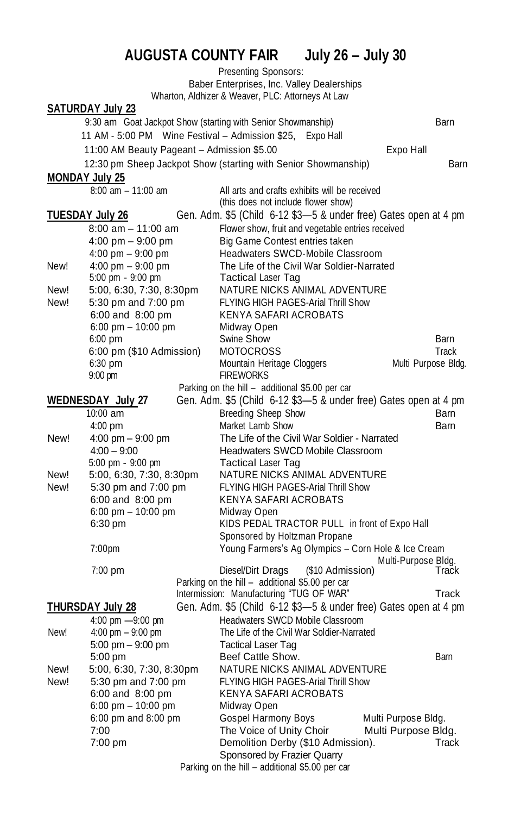## **AUGUSTA COUNTY FAIR July 26 – July 30**

Presenting Sponsors: Baber Enterprises, Inc. Valley Dealerships Wharton, Aldhizer & Weaver, PLC: Attorneys At Law **SATURDAY July 23** 9:30 am Goat Jackpot Show (starting with Senior Showmanship) Barn 11 AM - 5:00 PM Wine Festival – Admission \$25, Expo Hall 11:00 AM Beauty Pageant - Admission \$5.00 Franch Responsible Expo Hall 12:30 pm Sheep Jackpot Show (starting with Senior Showmanship) Barn **MONDAY July 25**  $8:00 \text{ am} - 11:00 \text{ am}$  All arts and crafts exhibits will be received (this does not include flower show) **TUESDAY July 26** Gen. Adm. \$5 (Child 6-12 \$3—5 & under free) Gates open at 4 pm 8:00 am – 11:00 am Flower show, fruit and vegetable entries received 4:00 pm – 9:00 pm Big Game Contest entries taken 4:00 pm – 9:00 pm Headwaters SWCD-Mobile Classroom New! 4:00 pm – 9:00 pm The Life of the Civil War Soldier-Narrated 5:00 pm - 9:00 pm Tactical Laser Tag New! 5:00, 6:30, 7:30, 8:30pm NATURE NICKS ANIMAL ADVENTURE<br>New! 5:30 pm and 7:00 pm FLYING HIGH PAGES-Arial Thrill Show FLYING HIGH PAGES-Arial Thrill Show 6:00 and 8:00 pm KENYA SAFARI ACROBATS 6:00 pm – 10:00 pm Midway Open 6:00 pm Swine Show Barn 6:00 pm (\$10 Admission) MOTOCROSS Track 6:30 pm Mountain Heritage Cloggers 9:00 pm FIREWORKS Parking on the hill – additional \$5.00 per car **WEDNESDAY July 27** Gen. Adm. \$5 (Child 6-12 \$3—5 & under free) Gates open at 4 pm 10:00 am Breeding Sheep Show Barn 4:00 pm Market Lamb Show Barn New! 4:00 pm – 9:00 pm The Life of the Civil War Soldier - Narrated 4:00 – 9:00 Headwaters SWCD Mobile Classroom 5:00 pm - 9:00 pm Tactical Laser Tag New! 5:00, 6:30, 7:30, 8:30pm NATURE NICKS ANIMAL ADVENTURE New! 5:30 pm and 7:00 pm FLYING HIGH PAGES-Arial Thrill Show 6:00 and 8:00 pm KENYA SAFARI ACROBATS 6:00 pm – 10:00 pm Midway Open 6:30 pm KIDS PEDAL TRACTOR PULL in front of Expo Hall Sponsored by Holtzman Propane 7:00pm Young Farmers's Ag Olympics – Corn Hole & Ice Cream Multi-Purpose Bldg.<br>Track(\$10 Admission) 7:00 pm Diesel/Dirt Drags Parking on the hill - additional \$5.00 per car Intermission: Manufacturing "TUG OF WAR" Track **THURSDAY July 28** Gen. Adm. \$5 (Child 6-12 \$3—5 & under free) Gates open at 4 pm 4:00 pm —9:00 pm Headwaters SWCD Mobile Classroom New! 4:00 pm – 9:00 pm  $-$  9:00 pm  $-$  The Life of the Civil War Soldier-Narrated 5:00 pm – 9:00 pm Tactical Laser Tag 5:00 pm Beef Cattle Show. New! 5:00, 6:30, 7:30, 8:30pm NATURE NICKS ANIMAL ADVENTURE New! 5:30 pm and 7:00 pm FLYING HIGH PAGES-Arial Thrill Show 6:00 and 8:00 pm KENYA SAFARI ACROBATS<br>6:00 pm – 10:00 pm Midway Open 6:00 pm  $-$  10:00 pm 6:00 pm and 8:00 pm Gospel Harmony Boys Multi Purpose Bldg. 7:00 The Voice of Unity Choir Multi Purpose Bldg. 7:00 pm Demolition Derby (\$10 Admission). Track Sponsored by Frazier Quarry

Parking on the hill – additional \$5.00 per car